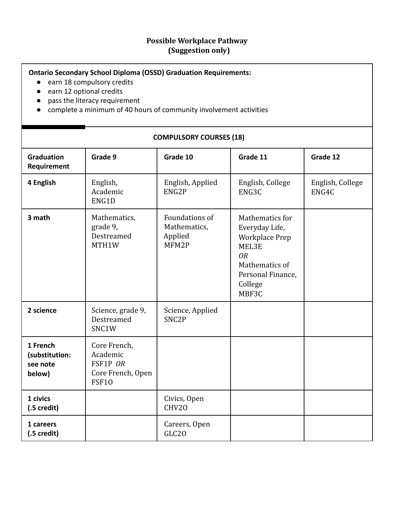## **Possible Workplace Pathway (Suggestion only)**

## **Ontario Secondary School Diploma (OSSD) Graduation Requirements:**

- earn 18 compulsory credits
- earn 12 optional credits
- pass the literacy requirement
- complete a minimum of 40 hours of community involvement activities

## **Graduation Requirement Grade 9 Grade 10 Grade 11 Grade 12 4 English** English, Academic ENG1D English, Applied ENG2P English, College ENG3C English, College ENG4C **3 math** Mathematics, grade 9, Destreamed MTH1W Foundations of Mathematics, Applied MFM2P Mathematics for Everyday Life, Workplace Prep MEL3E *OR* Mathematics of Personal Finance, College MBF3C **2 science** Science, grade 9, Destreamed SNC1W Science, Applied SNC2P **1 French (substitution: see note below)** Core French, Academic FSF1P *OR* Core French, Open FSF1O **1 civics (.5 credit)** Civics, Open CHV2O **1 careers (.5 credit)** Careers, Open GLC2O

## **COMPULSORY COURSES (18)**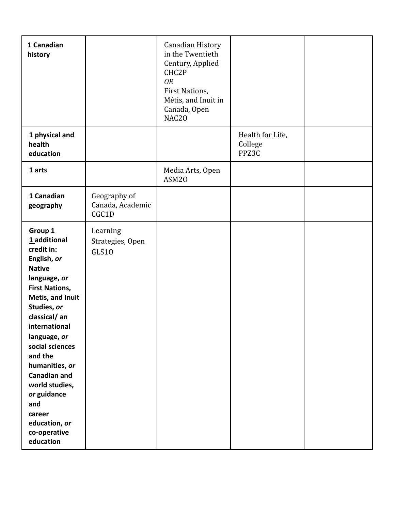| 1 Canadian<br>history                                                                                                                                                                                                                                                                                                                                                                |                                           | Canadian History<br>in the Twentieth<br>Century, Applied<br>CHC2P<br><b>OR</b><br>First Nations,<br>Métis, and Inuit in<br>Canada, Open<br>NAC20 |                                      |  |
|--------------------------------------------------------------------------------------------------------------------------------------------------------------------------------------------------------------------------------------------------------------------------------------------------------------------------------------------------------------------------------------|-------------------------------------------|--------------------------------------------------------------------------------------------------------------------------------------------------|--------------------------------------|--|
| 1 physical and<br>health<br>education                                                                                                                                                                                                                                                                                                                                                |                                           |                                                                                                                                                  | Health for Life,<br>College<br>PPZ3C |  |
| 1 arts                                                                                                                                                                                                                                                                                                                                                                               |                                           | Media Arts, Open<br>ASM20                                                                                                                        |                                      |  |
| 1 Canadian<br>geography                                                                                                                                                                                                                                                                                                                                                              | Geography of<br>Canada, Academic<br>CGC1D |                                                                                                                                                  |                                      |  |
| Group <sub>1</sub><br>1_additional<br>credit in:<br>English, or<br><b>Native</b><br>language, or<br><b>First Nations,</b><br>Metis, and Inuit<br>Studies, or<br>classical/an<br>international<br>language, or<br>social sciences<br>and the<br>humanities, or<br><b>Canadian and</b><br>world studies,<br>or guidance<br>and<br>career<br>education, or<br>co-operative<br>education | Learning<br>Strategies, Open<br>GLS10     |                                                                                                                                                  |                                      |  |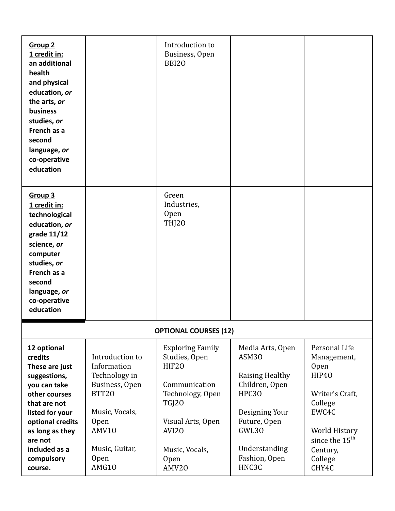| <b>Group 2</b><br>1 credit in:<br>an additional<br>health<br>and physical<br>education, or<br>the arts, or<br><b>business</b><br>studies, or<br>French as a<br>second<br>language, or<br>co-operative<br>education |                                                                                                                                                       | Introduction to<br>Business, Open<br><b>BBI20</b>                                                                                                              |                                                                                                                                                                    |                                                                                                                                                            |  |  |  |
|--------------------------------------------------------------------------------------------------------------------------------------------------------------------------------------------------------------------|-------------------------------------------------------------------------------------------------------------------------------------------------------|----------------------------------------------------------------------------------------------------------------------------------------------------------------|--------------------------------------------------------------------------------------------------------------------------------------------------------------------|------------------------------------------------------------------------------------------------------------------------------------------------------------|--|--|--|
| Group 3<br>1 credit in:<br>technological<br>education, or<br>grade 11/12<br>science, or<br>computer<br>studies, or<br>French as a<br>second<br>language, or<br>co-operative<br>education                           |                                                                                                                                                       | Green<br>Industries,<br><b>Open</b><br><b>THJ20</b>                                                                                                            |                                                                                                                                                                    |                                                                                                                                                            |  |  |  |
| <b>OPTIONAL COURSES (12)</b>                                                                                                                                                                                       |                                                                                                                                                       |                                                                                                                                                                |                                                                                                                                                                    |                                                                                                                                                            |  |  |  |
| 12 optional<br>credits<br>These are just<br>suggestions,<br>you can take<br>other courses<br>that are not<br>listed for your<br>optional credits<br>as long as they<br>are not<br>included as a<br>compulsory      | Introduction to<br>Information<br>Technology in<br>Business, Open<br>BTT20<br>Music, Vocals,<br><b>Open</b><br>AMV10<br>Music, Guitar,<br><b>Open</b> | <b>Exploring Family</b><br>Studies, Open<br>HIF20<br>Communication<br>Technology, Open<br><b>TGJ20</b><br>Visual Arts, Open<br>AVI20<br>Music, Vocals,<br>Open | Media Arts, Open<br>ASM30<br><b>Raising Healthy</b><br>Children, Open<br><b>HPC30</b><br>Designing Your<br>Future, Open<br>GWL30<br>Understanding<br>Fashion, Open | Personal Life<br>Management,<br>Open<br>HIP40<br>Writer's Craft,<br>College<br>EWC4C<br>World History<br>since the 15 <sup>th</sup><br>Century,<br>College |  |  |  |
| course.                                                                                                                                                                                                            | AMG10                                                                                                                                                 | AMV20                                                                                                                                                          | HNC3C                                                                                                                                                              | CHY4C                                                                                                                                                      |  |  |  |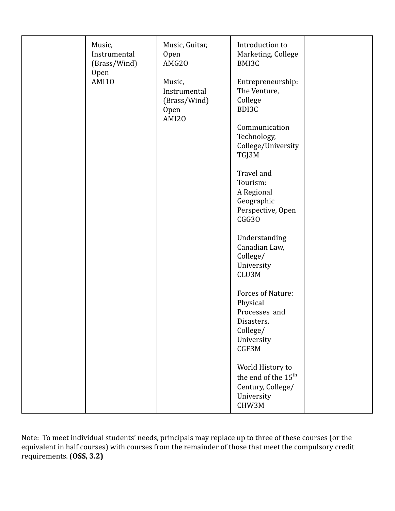| Music,<br>Instrumental<br>(Brass/Wind)<br>Open<br><b>AMI10</b> | Music, Guitar,<br>Open<br>AMG20<br>Music,<br>Instrumental<br>(Brass/Wind)<br><b>Open</b><br>AMI20 | Introduction to<br>Marketing, College<br>BMI3C<br>Entrepreneurship:<br>The Venture,<br>College<br>BDI3C<br>Communication<br>Technology,<br>College/University<br>TGJ3M<br>Travel and<br>Tourism:<br>A Regional<br>Geographic<br>Perspective, Open<br>CGG30<br>Understanding<br>Canadian Law,<br>College/<br>University<br>CLU3M<br>Forces of Nature: |  |
|----------------------------------------------------------------|---------------------------------------------------------------------------------------------------|------------------------------------------------------------------------------------------------------------------------------------------------------------------------------------------------------------------------------------------------------------------------------------------------------------------------------------------------------|--|
|                                                                |                                                                                                   | Physical<br>Processes and<br>Disasters,<br>College/<br>University<br>CGF3M                                                                                                                                                                                                                                                                           |  |
|                                                                |                                                                                                   | World History to<br>the end of the 15 <sup>th</sup><br>Century, College/<br>University<br>CHW3M                                                                                                                                                                                                                                                      |  |

Note: To meet individual students' needs, principals may replace up to three of these courses (or the equivalent in half courses) with courses from the remainder of those that meet the compulsory credit requirements. (**OSS, 3.2)**